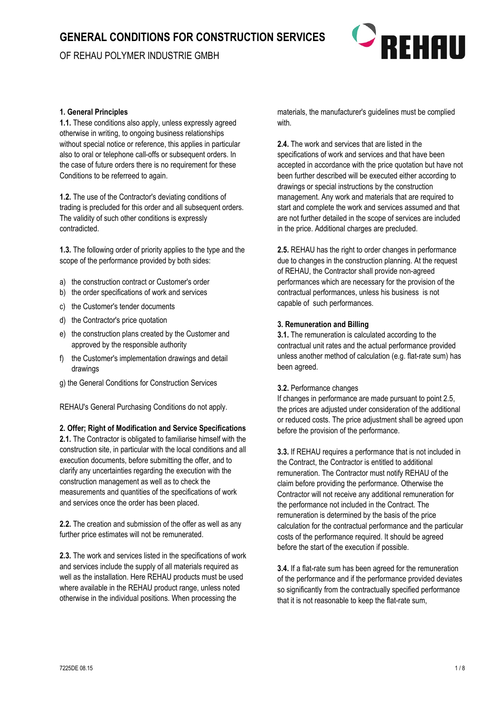OF REHAU POLYMER INDUSTRIE GMBH



### **1. General Principles**

**1.1.** These conditions also apply, unless expressly agreed otherwise in writing, to ongoing business relationships without special notice or reference, this applies in particular also to oral or telephone call-offs or subsequent orders. In the case of future orders there is no requirement for these Conditions to be referreed to again.

**1.2.** The use of the Contractor's deviating conditions of trading is precluded for this order and all subsequent orders. The validity of such other conditions is expressly contradicted.

**1.3.** The following order of priority applies to the type and the scope of the performance provided by both sides:

- a) the construction contract or Customer's order
- b) the order specifications of work and services
- c) the Customer's tender documents
- d) the Contractor's price quotation
- e) the construction plans created by the Customer and approved by the responsible authority
- f) the Customer's implementation drawings and detail drawings
- g) the General Conditions for Construction Services

REHAU's General Purchasing Conditions do not apply.

### **2. Offer; Right of Modification and Service Specifications**

**2.1.** The Contractor is obligated to familiarise himself with the construction site, in particular with the local conditions and all execution documents, before submitting the offer, and to clarify any uncertainties regarding the execution with the construction management as well as to check the measurements and quantities of the specifications of work and services once the order has been placed.

**2.2.** The creation and submission of the offer as well as any further price estimates will not be remunerated.

**2.3.** The work and services listed in the specifications of work and services include the supply of all materials required as well as the installation. Here REHAU products must be used where available in the REHAU product range, unless noted otherwise in the individual positions. When processing the

materials, the manufacturer's guidelines must be complied with.

**2.4.** The work and services that are listed in the specifications of work and services and that have been accepted in accordance with the price quotation but have not been further described will be executed either according to drawings or special instructions by the construction management. Any work and materials that are required to start and complete the work and services assumed and that are not further detailed in the scope of services are included in the price. Additional charges are precluded.

**2.5.** REHAU has the right to order changes in performance due to changes in the construction planning. At the request of REHAU, the Contractor shall provide non-agreed performances which are necessary for the provision of the contractual performances, unless his business is not capable of such performances.

### **3. Remuneration and Billing**

**3.1.** The remuneration is calculated according to the contractual unit rates and the actual performance provided unless another method of calculation (e.g. flat-rate sum) has been agreed.

### **3.2.** Performance changes

If changes in performance are made pursuant to point 2.5, the prices are adjusted under consideration of the additional or reduced costs. The price adjustment shall be agreed upon before the provision of the performance.

**3.3.** If REHAU requires a performance that is not included in the Contract, the Contractor is entitled to additional remuneration. The Contractor must notify REHAU of the claim before providing the performance. Otherwise the Contractor will not receive any additional remuneration for the performance not included in the Contract. The remuneration is determined by the basis of the price calculation for the contractual performance and the particular costs of the performance required. It should be agreed before the start of the execution if possible.

**3.4.** If a flat-rate sum has been agreed for the remuneration of the performance and if the performance provided deviates so significantly from the contractually specified performance that it is not reasonable to keep the flat-rate sum,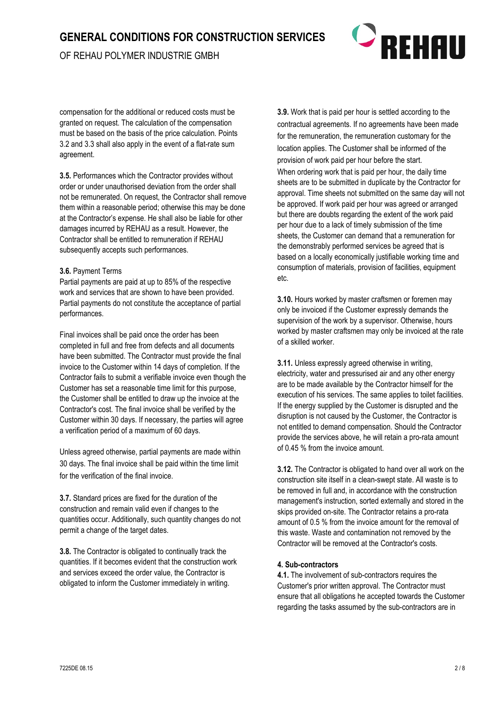# OF REHAU POLYMER INDUSTRIE GMBH



compensation for the additional or reduced costs must be granted on request. The calculation of the compensation must be based on the basis of the price calculation. Points 3.2 and 3.3 shall also apply in the event of a flat-rate sum agreement.

**3.5.** Performances which the Contractor provides without order or under unauthorised deviation from the order shall not be remunerated. On request, the Contractor shall remove them within a reasonable period; otherwise this may be done at the Contractor's expense. He shall also be liable for other damages incurred by REHAU as a result. However, the Contractor shall be entitled to remuneration if REHAU subsequently accepts such performances.

### **3.6.** Payment Terms

Partial payments are paid at up to 85% of the respective work and services that are shown to have been provided. Partial payments do not constitute the acceptance of partial performances.

Final invoices shall be paid once the order has been completed in full and free from defects and all documents have been submitted. The Contractor must provide the final invoice to the Customer within 14 days of completion. If the Contractor fails to submit a verifiable invoice even though the Customer has set a reasonable time limit for this purpose, the Customer shall be entitled to draw up the invoice at the Contractor's cost. The final invoice shall be verified by the Customer within 30 days. If necessary, the parties will agree a verification period of a maximum of 60 days.

Unless agreed otherwise, partial payments are made within 30 days. The final invoice shall be paid within the time limit for the verification of the final invoice.

**3.7.** Standard prices are fixed for the duration of the construction and remain valid even if changes to the quantities occur. Additionally, such quantity changes do not permit a change of the target dates.

**3.8.** The Contractor is obligated to continually track the quantities. If it becomes evident that the construction work and services exceed the order value, the Contractor is obligated to inform the Customer immediately in writing.

**3.9.** Work that is paid per hour is settled according to the contractual agreements. If no agreements have been made for the remuneration, the remuneration customary for the location applies. The Customer shall be informed of the provision of work paid per hour before the start. When ordering work that is paid per hour, the daily time sheets are to be submitted in duplicate by the Contractor for approval. Time sheets not submitted on the same day will not be approved. If work paid per hour was agreed or arranged but there are doubts regarding the extent of the work paid per hour due to a lack of timely submission of the time sheets, the Customer can demand that a remuneration for the demonstrably performed services be agreed that is based on a locally economically justifiable working time and consumption of materials, provision of facilities, equipment etc.

**3.10.** Hours worked by master craftsmen or foremen may only be invoiced if the Customer expressly demands the supervision of the work by a supervisor. Otherwise, hours worked by master craftsmen may only be invoiced at the rate of a skilled worker.

**3.11.** Unless expressly agreed otherwise in writing, electricity, water and pressurised air and any other energy are to be made available by the Contractor himself for the execution of his services. The same applies to toilet facilities. If the energy supplied by the Customer is disrupted and the disruption is not caused by the Customer, the Contractor is not entitled to demand compensation. Should the Contractor provide the services above, he will retain a pro-rata amount of 0.45 % from the invoice amount.

**3.12.** The Contractor is obligated to hand over all work on the construction site itself in a clean-swept state. All waste is to be removed in full and, in accordance with the construction management's instruction, sorted externally and stored in the skips provided on-site. The Contractor retains a pro-rata amount of 0.5 % from the invoice amount for the removal of this waste. Waste and contamination not removed by the Contractor will be removed at the Contractor's costs.

### **4. Sub-contractors**

**4.1.** The involvement of sub-contractors requires the Customer's prior written approval. The Contractor must ensure that all obligations he accepted towards the Customer regarding the tasks assumed by the sub-contractors are in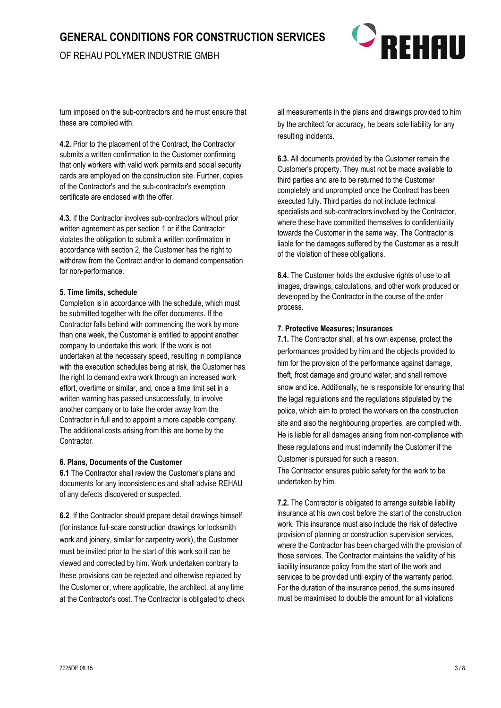OF REHAU POLYMER INDUSTRIE GMBH



turn imposed on the sub-contractors and he must ensure that these are complied with.

**4.2.** Prior to the placement of the Contract, the Contractor submits a written confirmation to the Customer confirming that only workers with valid work permits and social security cards are employed on the construction site. Further, copies of the Contractor's and the sub-contractor's exemption certificate are enclosed with the offer.

**4.3.** If the Contractor involves sub-contractors without prior written agreement as per section 1 or if the Contractor violates the obligation to submit a written confirmation in accordance with section 2, the Customer has the right to withdraw from the Contract and/or to demand compensation for non-performance.

### **5. Time limits, schedule**

Completion is in accordance with the schedule, which must be submitted together with the offer documents. If the Contractor falls behind with commencing the work by more than one week, the Customer is entitled to appoint another company to undertake this work. If the work is not undertaken at the necessary speed, resulting in compliance with the execution schedules being at risk, the Customer has the right to demand extra work through an increased work effort, overtime or similar, and, once a time limit set in a written warning has passed unsuccessfully, to involve another company or to take the order away from the Contractor in full and to appoint a more capable company. The additional costs arising from this are borne by the Contractor.

### **6. Plans, Documents of the Customer**

**6.1** The Contractor shall review the Customer's plans and documents for any inconsistencies and shall advise REHAU of any defects discovered or suspected.

**6.2**. If the Contractor should prepare detail drawings himself (for instance full-scale construction drawings for locksmith work and joinery, similar for carpentry work), the Customer must be invited prior to the start of this work so it can be viewed and corrected by him. Work undertaken contrary to these provisions can be rejected and otherwise replaced by the Customer or, where applicable, the architect, at any time at the Contractor's cost. The Contractor is obligated to check all measurements in the plans and drawings provided to him by the architect for accuracy, he bears sole liability for any resulting incidents.

**6.3.** All documents provided by the Customer remain the Customer's property. They must not be made available to third parties and are to be returned to the Customer completely and unprompted once the Contract has been executed fully. Third parties do not include technical specialists and sub-contractors involved by the Contractor, where these have committed themselves to confidentiality towards the Customer in the same way. The Contractor is liable for the damages suffered by the Customer as a result of the violation of these obligations.

**6.4.** The Customer holds the exclusive rights of use to all images, drawings, calculations, and other work produced or developed by the Contractor in the course of the order process.

### **7. Protective Measures; Insurances**

**7.1.** The Contractor shall, at his own expense, protect the performances provided by him and the objects provided to him for the provision of the performance against damage, theft, frost damage and ground water, and shall remove snow and ice. Additionally, he is responsible for ensuring that the legal regulations and the regulations stipulated by the police, which aim to protect the workers on the construction site and also the neighbouring properties, are complied with. He is liable for all damages arising from non-compliance with these regulations and must indemnify the Customer if the Customer is pursued for such a reason.

The Contractor ensures public safety for the work to be undertaken by him.

**7.2.** The Contractor is obligated to arrange suitable liability insurance at his own cost before the start of the construction work. This insurance must also include the risk of defective provision of planning or construction supervision services, where the Contractor has been charged with the provision of those services. The Contractor maintains the validity of his liability insurance policy from the start of the work and services to be provided until expiry of the warranty period. For the duration of the insurance period, the sums insured must be maximised to double the amount for all violations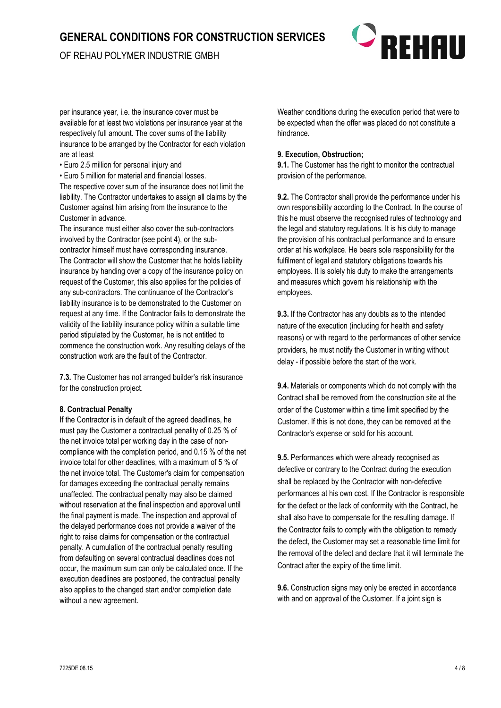# OF REHAU POLYMER INDUSTRIE GMBH



per insurance year, i.e. the insurance cover must be available for at least two violations per insurance year at the respectively full amount. The cover sums of the liability insurance to be arranged by the Contractor for each violation are at least

- Euro 2.5 million for personal injury and
- Euro 5 million for material and financial losses.

The respective cover sum of the insurance does not limit the liability. The Contractor undertakes to assign all claims by the Customer against him arising from the insurance to the Customer in advance.

The insurance must either also cover the sub-contractors involved by the Contractor (see point 4), or the subcontractor himself must have corresponding insurance. The Contractor will show the Customer that he holds liability insurance by handing over a copy of the insurance policy on request of the Customer, this also applies for the policies of any sub-contractors. The continuance of the Contractor's liability insurance is to be demonstrated to the Customer on request at any time. If the Contractor fails to demonstrate the validity of the liability insurance policy within a suitable time period stipulated by the Customer, he is not entitled to commence the construction work. Any resulting delays of the construction work are the fault of the Contractor.

**7.3.** The Customer has not arranged builder's risk insurance for the construction project.

#### **8. Contractual Penalty**

If the Contractor is in default of the agreed deadlines, he must pay the Customer a contractual penality of 0.25 % of the net invoice total per working day in the case of noncompliance with the completion period, and 0.15 % of the net invoice total for other deadlines, with a maximum of 5 % of the net invoice total. The Customer's claim for compensation for damages exceeding the contractual penalty remains unaffected. The contractual penalty may also be claimed without reservation at the final inspection and approval until the final payment is made. The inspection and approval of the delayed performance does not provide a waiver of the right to raise claims for compensation or the contractual penalty. A cumulation of the contractual penalty resulting from defaulting on several contractual deadlines does not occur, the maximum sum can only be calculated once. If the execution deadlines are postponed, the contractual penalty also applies to the changed start and/or completion date without a new agreement.

Weather conditions during the execution period that were to be expected when the offer was placed do not constitute a hindrance.

### **9. Execution, Obstruction;**

**9.1.** The Customer has the right to monitor the contractual provision of the performance.

**9.2.** The Contractor shall provide the performance under his own responsibility according to the Contract. In the course of this he must observe the recognised rules of technology and the legal and statutory regulations. It is his duty to manage the provision of his contractual performance and to ensure order at his workplace. He bears sole responsibility for the fulfilment of legal and statutory obligations towards his employees. It is solely his duty to make the arrangements and measures which govern his relationship with the employees.

**9.3.** If the Contractor has any doubts as to the intended nature of the execution (including for health and safety reasons) or with regard to the performances of other service providers, he must notify the Customer in writing without delay - if possible before the start of the work.

**9.4.** Materials or components which do not comply with the Contract shall be removed from the construction site at the order of the Customer within a time limit specified by the Customer. If this is not done, they can be removed at the Contractor's expense or sold for his account.

**9.5.** Performances which were already recognised as defective or contrary to the Contract during the execution shall be replaced by the Contractor with non-defective performances at his own cost. If the Contractor is responsible for the defect or the lack of conformity with the Contract, he shall also have to compensate for the resulting damage. If the Contractor fails to comply with the obligation to remedy the defect, the Customer may set a reasonable time limit for the removal of the defect and declare that it will terminate the Contract after the expiry of the time limit.

**9.6.** Construction signs may only be erected in accordance with and on approval of the Customer. If a joint sign is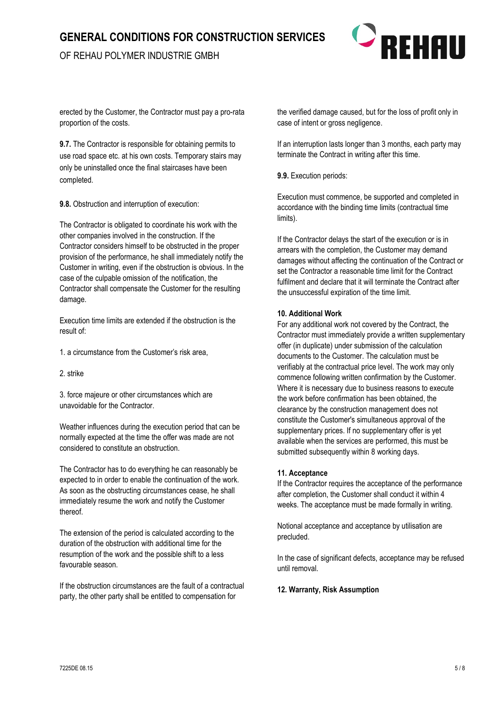OF REHAU POLYMER INDUSTRIE GMBH



erected by the Customer, the Contractor must pay a pro-rata proportion of the costs.

**9.7.** The Contractor is responsible for obtaining permits to use road space etc. at his own costs. Temporary stairs may only be uninstalled once the final staircases have been completed.

**9.8.** Obstruction and interruption of execution:

The Contractor is obligated to coordinate his work with the other companies involved in the construction. If the Contractor considers himself to be obstructed in the proper provision of the performance, he shall immediately notify the Customer in writing, even if the obstruction is obvious. In the case of the culpable omission of the notification, the Contractor shall compensate the Customer for the resulting damage.

Execution time limits are extended if the obstruction is the result of:

1. a circumstance from the Customer's risk area,

2. strike

3. force majeure or other circumstances which are unavoidable for the Contractor.

Weather influences during the execution period that can be normally expected at the time the offer was made are not considered to constitute an obstruction.

The Contractor has to do everything he can reasonably be expected to in order to enable the continuation of the work. As soon as the obstructing circumstances cease, he shall immediately resume the work and notify the Customer thereof.

The extension of the period is calculated according to the duration of the obstruction with additional time for the resumption of the work and the possible shift to a less favourable season.

If the obstruction circumstances are the fault of a contractual party, the other party shall be entitled to compensation for

the verified damage caused, but for the loss of profit only in case of intent or gross negligence.

If an interruption lasts longer than 3 months, each party may terminate the Contract in writing after this time.

**9.9.** Execution periods:

Execution must commence, be supported and completed in accordance with the binding time limits (contractual time limits).

If the Contractor delays the start of the execution or is in arrears with the completion, the Customer may demand damages without affecting the continuation of the Contract or set the Contractor a reasonable time limit for the Contract fulfilment and declare that it will terminate the Contract after the unsuccessful expiration of the time limit.

### **10. Additional Work**

For any additional work not covered by the Contract, the Contractor must immediately provide a written supplementary offer (in duplicate) under submission of the calculation documents to the Customer. The calculation must be verifiably at the contractual price level. The work may only commence following written confirmation by the Customer. Where it is necessary due to business reasons to execute the work before confirmation has been obtained, the clearance by the construction management does not constitute the Customer's simultaneous approval of the supplementary prices. If no supplementary offer is yet available when the services are performed, this must be submitted subsequently within 8 working days.

## **11. Acceptance**

If the Contractor requires the acceptance of the performance after completion, the Customer shall conduct it within 4 weeks. The acceptance must be made formally in writing.

Notional acceptance and acceptance by utilisation are precluded.

In the case of significant defects, acceptance may be refused until removal.

## **12. Warranty, Risk Assumption**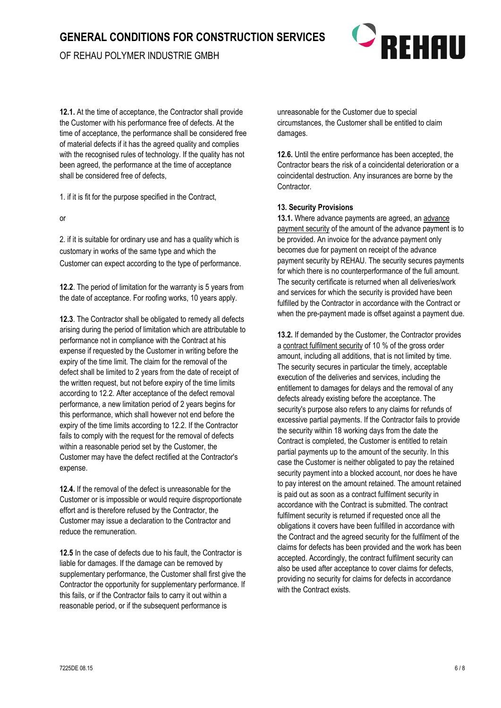OF REHAU POLYMER INDUSTRIE GMBH



**12.1.** At the time of acceptance, the Contractor shall provide the Customer with his performance free of defects. At the time of acceptance, the performance shall be considered free of material defects if it has the agreed quality and complies with the recognised rules of technology. If the quality has not been agreed, the performance at the time of acceptance shall be considered free of defects,

1. if it is fit for the purpose specified in the Contract,

or

2. if it is suitable for ordinary use and has a quality which is customary in works of the same type and which the Customer can expect according to the type of performance.

**12.2**. The period of limitation for the warranty is 5 years from the date of acceptance. For roofing works, 10 years apply.

**12.3**. The Contractor shall be obligated to remedy all defects arising during the period of limitation which are attributable to performance not in compliance with the Contract at his expense if requested by the Customer in writing before the expiry of the time limit. The claim for the removal of the defect shall be limited to 2 years from the date of receipt of the written request, but not before expiry of the time limits according to 12.2. After acceptance of the defect removal performance, a new limitation period of 2 years begins for this performance, which shall however not end before the expiry of the time limits according to 12.2. If the Contractor fails to comply with the request for the removal of defects within a reasonable period set by the Customer, the Customer may have the defect rectified at the Contractor's expense.

**12.4.** If the removal of the defect is unreasonable for the Customer or is impossible or would require disproportionate effort and is therefore refused by the Contractor, the Customer may issue a declaration to the Contractor and reduce the remuneration.

**12.5** In the case of defects due to his fault, the Contractor is liable for damages. If the damage can be removed by supplementary performance, the Customer shall first give the Contractor the opportunity for supplementary performance. If this fails, or if the Contractor fails to carry it out within a reasonable period, or if the subsequent performance is

unreasonable for the Customer due to special circumstances, the Customer shall be entitled to claim damages.

**12.6.** Until the entire performance has been accepted, the Contractor bears the risk of a coincidental deterioration or a coincidental destruction. Any insurances are borne by the Contractor.

### **13. Security Provisions**

**13.1.** Where advance payments are agreed, an advance payment security of the amount of the advance payment is to be provided. An invoice for the advance payment only becomes due for payment on receipt of the advance payment security by REHAU. The security secures payments for which there is no counterperformance of the full amount. The security certificate is returned when all deliveries/work and services for which the security is provided have been fulfilled by the Contractor in accordance with the Contract or when the pre-payment made is offset against a payment due.

**13.2.** If demanded by the Customer, the Contractor provides a contract fulfilment security of 10 % of the gross order amount, including all additions, that is not limited by time. The security secures in particular the timely, acceptable execution of the deliveries and services, including the entitlement to damages for delays and the removal of any defects already existing before the acceptance. The security's purpose also refers to any claims for refunds of excessive partial payments. If the Contractor fails to provide the security within 18 working days from the date the Contract is completed, the Customer is entitled to retain partial payments up to the amount of the security. In this case the Customer is neither obligated to pay the retained security payment into a blocked account, nor does he have to pay interest on the amount retained. The amount retained is paid out as soon as a contract fulfilment security in accordance with the Contract is submitted. The contract fulfilment security is returned if requested once all the obligations it covers have been fulfilled in accordance with the Contract and the agreed security for the fulfilment of the claims for defects has been provided and the work has been accepted. Accordingly, the contract fulfilment security can also be used after acceptance to cover claims for defects, providing no security for claims for defects in accordance with the Contract exists.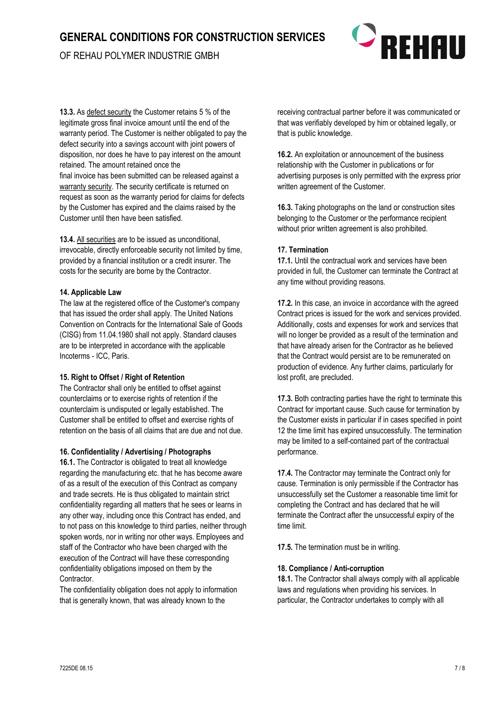# OF REHAU POLYMER INDUSTRIE GMBH



**13.3.** As defect security the Customer retains 5 % of the legitimate gross final invoice amount until the end of the warranty period. The Customer is neither obligated to pay the defect security into a savings account with joint powers of disposition, nor does he have to pay interest on the amount retained. The amount retained once the final invoice has been submitted can be released against a warranty security. The security certificate is returned on request as soon as the warranty period for claims for defects by the Customer has expired and the claims raised by the Customer until then have been satisfied.

**13.4.** All securities are to be issued as unconditional, irrevocable, directly enforceable security not limited by time, provided by a financial institution or a credit insurer. The costs for the security are borne by the Contractor.

### **14. Applicable Law**

The law at the registered office of the Customer's company that has issued the order shall apply. The United Nations Convention on Contracts for the International Sale of Goods (CISG) from 11.04.1980 shall not apply. Standard clauses are to be interpreted in accordance with the applicable Incoterms - ICC, Paris.

### **15. Right to Offset / Right of Retention**

The Contractor shall only be entitled to offset against counterclaims or to exercise rights of retention if the counterclaim is undisputed or legally established. The Customer shall be entitled to offset and exercise rights of retention on the basis of all claims that are due and not due.

### **16. Confidentiality / Advertising / Photographs**

**16.1.** The Contractor is obligated to treat all knowledge regarding the manufacturing etc. that he has become aware of as a result of the execution of this Contract as company and trade secrets. He is thus obligated to maintain strict confidentiality regarding all matters that he sees or learns in any other way, including once this Contract has ended, and to not pass on this knowledge to third parties, neither through spoken words, nor in writing nor other ways. Employees and staff of the Contractor who have been charged with the execution of the Contract will have these corresponding confidentiality obligations imposed on them by the Contractor.

The confidentiality obligation does not apply to information that is generally known, that was already known to the

receiving contractual partner before it was communicated or that was verifiably developed by him or obtained legally, or that is public knowledge.

**16.2.** An exploitation or announcement of the business relationship with the Customer in publications or for advertising purposes is only permitted with the express prior written agreement of the Customer.

**16.3.** Taking photographs on the land or construction sites belonging to the Customer or the performance recipient without prior written agreement is also prohibited.

### **17. Termination**

**17.1.** Until the contractual work and services have been provided in full, the Customer can terminate the Contract at any time without providing reasons.

**17.2.** In this case, an invoice in accordance with the agreed Contract prices is issued for the work and services provided. Additionally, costs and expenses for work and services that will no longer be provided as a result of the termination and that have already arisen for the Contractor as he believed that the Contract would persist are to be remunerated on production of evidence. Any further claims, particularly for lost profit, are precluded.

**17.3.** Both contracting parties have the right to terminate this Contract for important cause. Such cause for termination by the Customer exists in particular if in cases specified in point 12 the time limit has expired unsuccessfully. The termination may be limited to a self-contained part of the contractual performance.

**17.4.** The Contractor may terminate the Contract only for cause. Termination is only permissible if the Contractor has unsuccessfully set the Customer a reasonable time limit for completing the Contract and has declared that he will terminate the Contract after the unsuccessful expiry of the time limit.

**17.5.** The termination must be in writing.

## **18. Compliance / Anti-corruption**

**18.1.** The Contractor shall always comply with all applicable laws and regulations when providing his services. In particular, the Contractor undertakes to comply with all